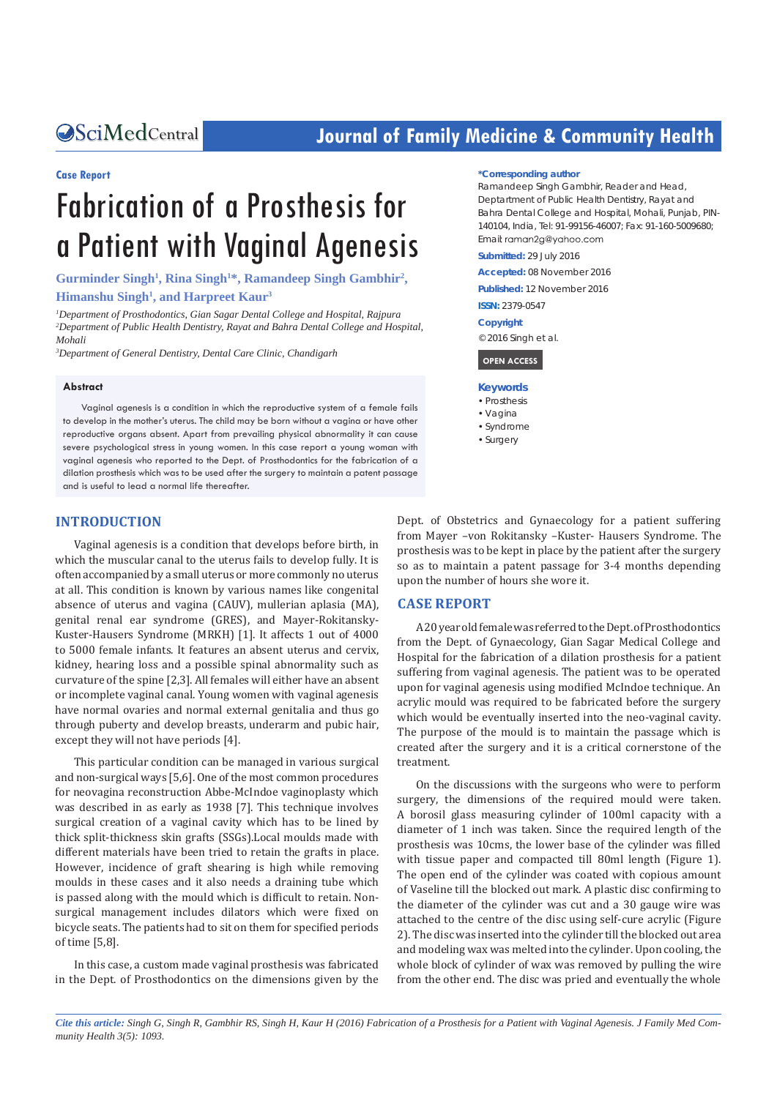# **CALCERT CONFIDENTIAL CONTROLLER COMMUNITY Health**

#### **Case Report**

# Fabrication of a Prosthesis for a Patient with Vaginal Agenesis

Gurminder Singh<sup>1</sup>, Rina Singh<sup>1\*</sup>, Ramandeep Singh Gambhir<sup>2</sup>, **Himanshu Singh1 , and Harpreet Kaur3**

*1 Department of Prosthodontics, Gian Sagar Dental College and Hospital, Rajpura 2 Department of Public Health Dentistry, Rayat and Bahra Dental College and Hospital, Mohali*

*3 Department of General Dentistry, Dental Care Clinic, Chandigarh*

#### **Abstract**

Vaginal agenesis is a condition in which the reproductive system of a female fails to develop in the mother's uterus. The child may be born without a vagina or have other reproductive organs absent. Apart from prevailing physical abnormality it can cause severe psychological stress in young women. In this case report a young woman with vaginal agenesis who reported to the Dept. of Prosthodontics for the fabrication of a dilation prosthesis which was to be used after the surgery to maintain a patent passage and is useful to lead a normal life thereafter.

# **INTRODUCTION**

Vaginal agenesis is a condition that develops before birth, in which the muscular canal to the uterus fails to develop fully. It is often accompanied by a small uterus or more commonly no uterus at all. This condition is known by various names like congenital absence of uterus and vagina (CAUV), mullerian aplasia (MA), genital renal ear syndrome (GRES), and Mayer-Rokitansky-Kuster-Hausers Syndrome (MRKH) [1]. It affects 1 out of 4000 to 5000 female infants. It features an absent uterus and cervix, kidney, hearing loss and a possible spinal abnormality such as curvature of the spine [2,3]. All females will either have an absent or incomplete vaginal canal. Young women with vaginal agenesis have normal ovaries and normal external genitalia and thus go through puberty and develop breasts, underarm and pubic hair, except they will not have periods [4].

This particular condition can be managed in various surgical and non-surgical ways [5,6]. One of the most common procedures for neovagina reconstruction Abbe-McIndoe vaginoplasty which was described in as early as 1938 [7]. This technique involves surgical creation of a vaginal cavity which has to be lined by thick split-thickness skin grafts (SSGs).Local moulds made with different materials have been tried to retain the grafts in place. However, incidence of graft shearing is high while removing moulds in these cases and it also needs a draining tube which is passed along with the mould which is difficult to retain. Nonsurgical management includes dilators which were fixed on bicycle seats. The patients had to sit on them for specified periods of time [5,8].

In this case, a custom made vaginal prosthesis was fabricated in the Dept. of Prosthodontics on the dimensions given by the

#### **\*Corresponding author**

Ramandeep Singh Gambhir, Reader and Head, Deptartment of Public Health Dentistry, Rayat and Bahra Dental College and Hospital, Mohali, Punjab, PIN-140104, India, Tel: 91-99156-46007; Fax: 91-160-5009680; Email: raman2g@yahoo.com

**Submitted:** 29 July 2016

**Accepted:** 08 November 2016

**Published:** 12 November 2016

**ISSN:** 2379-0547

**Copyright**

© 2016 Singh et al.

#### **OPEN ACCESS**

#### **Keywords**

- • Prosthesis • Vagina
- 
- • Syndrome • Surgery

Dept. of Obstetrics and Gynaecology for a patient suffering from Mayer –von Rokitansky –Kuster- Hausers Syndrome. The prosthesis was to be kept in place by the patient after the surgery so as to maintain a patent passage for 3-4 months depending upon the number of hours she wore it.

#### **CASE REPORT**

A 20 year old female was referred to the Dept. of Prosthodontics from the Dept. of Gynaecology, Gian Sagar Medical College and Hospital for the fabrication of a dilation prosthesis for a patient suffering from vaginal agenesis. The patient was to be operated upon for vaginal agenesis using modified McIndoe technique. An acrylic mould was required to be fabricated before the surgery which would be eventually inserted into the neo-vaginal cavity. The purpose of the mould is to maintain the passage which is created after the surgery and it is a critical cornerstone of the treatment.

On the discussions with the surgeons who were to perform surgery, the dimensions of the required mould were taken. A borosil glass measuring cylinder of 100ml capacity with a diameter of 1 inch was taken. Since the required length of the prosthesis was 10cms, the lower base of the cylinder was filled with tissue paper and compacted till 80ml length (Figure 1). The open end of the cylinder was coated with copious amount of Vaseline till the blocked out mark. A plastic disc confirming to the diameter of the cylinder was cut and a 30 gauge wire was attached to the centre of the disc using self-cure acrylic (Figure 2). The disc was inserted into the cylinder till the blocked out area and modeling wax was melted into the cylinder. Upon cooling, the whole block of cylinder of wax was removed by pulling the wire from the other end. The disc was pried and eventually the whole

*Cite this article: Singh G, Singh R, Gambhir RS, Singh H, Kaur H (2016) Fabrication of a Prosthesis for a Patient with Vaginal Agenesis. J Family Med Community Health 3(5): 1093.*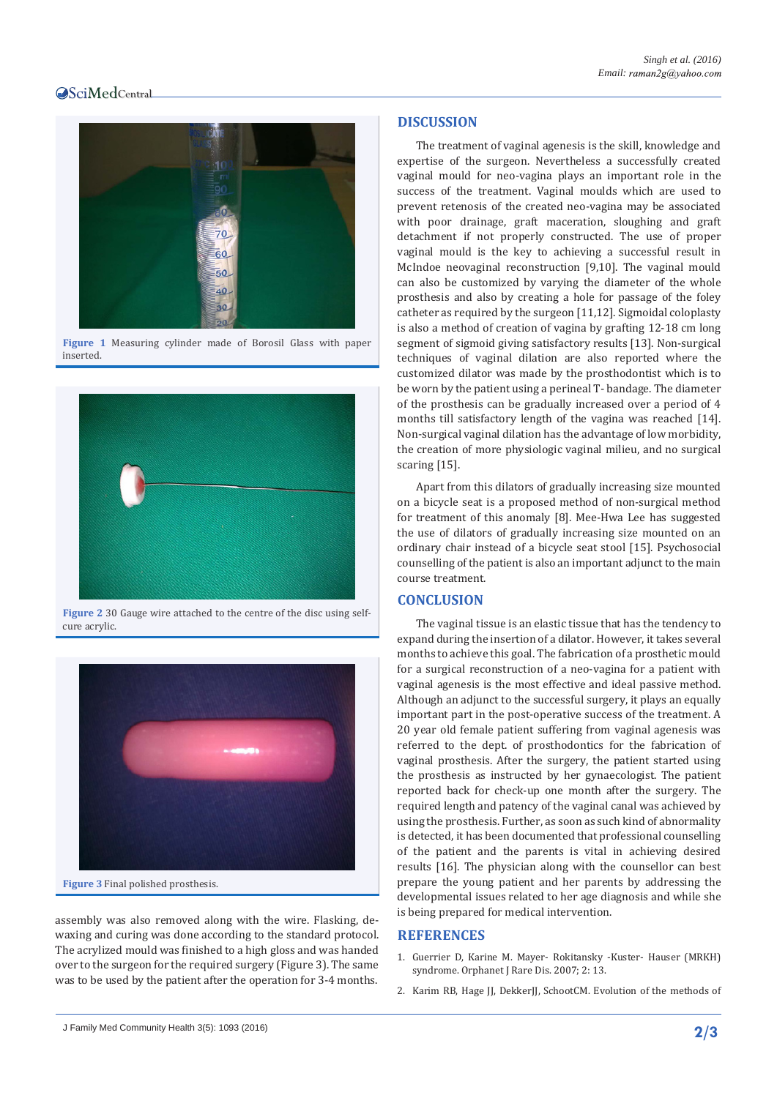# **OSciMedCentral**



**Figure 1** Measuring cylinder made of Borosil Glass with paper inserted.



**Figure 2** 30 Gauge wire attached to the centre of the disc using selfcure acrylic.



**Figure 3** Final polished prosthesis.

assembly was also removed along with the wire. Flasking, dewaxing and curing was done according to the standard protocol. The acrylized mould was finished to a high gloss and was handed over to the surgeon for the required surgery (Figure 3). The same was to be used by the patient after the operation for 3-4 months.

# **DISCUSSION**

The treatment of vaginal agenesis is the skill, knowledge and expertise of the surgeon. Nevertheless a successfully created vaginal mould for neo-vagina plays an important role in the success of the treatment. Vaginal moulds which are used to prevent retenosis of the created neo-vagina may be associated with poor drainage, graft maceration, sloughing and graft detachment if not properly constructed. The use of proper vaginal mould is the key to achieving a successful result in McIndoe neovaginal reconstruction [9,10]. The vaginal mould can also be customized by varying the diameter of the whole prosthesis and also by creating a hole for passage of the foley catheter as required by the surgeon [11,12]. Sigmoidal coloplasty is also a method of creation of vagina by grafting 12-18 cm long segment of sigmoid giving satisfactory results [13]. Non-surgical techniques of vaginal dilation are also reported where the customized dilator was made by the prosthodontist which is to be worn by the patient using a perineal T- bandage. The diameter of the prosthesis can be gradually increased over a period of 4 months till satisfactory length of the vagina was reached [14]. Non-surgical vaginal dilation has the advantage of low morbidity, the creation of more physiologic vaginal milieu, and no surgical scaring [15].

Apart from this dilators of gradually increasing size mounted on a bicycle seat is a proposed method of non-surgical method for treatment of this anomaly [8]. Mee-Hwa Lee has suggested the use of dilators of gradually increasing size mounted on an ordinary chair instead of a bicycle seat stool [15]. Psychosocial counselling of the patient is also an important adjunct to the main course treatment.

## **CONCLUSION**

The vaginal tissue is an elastic tissue that has the tendency to expand during the insertion of a dilator. However, it takes several months to achieve this goal. The fabrication of a prosthetic mould for a surgical reconstruction of a neo-vagina for a patient with vaginal agenesis is the most effective and ideal passive method. Although an adjunct to the successful surgery, it plays an equally important part in the post-operative success of the treatment. A 20 year old female patient suffering from vaginal agenesis was referred to the dept. of prosthodontics for the fabrication of vaginal prosthesis. After the surgery, the patient started using the prosthesis as instructed by her gynaecologist. The patient reported back for check-up one month after the surgery. The required length and patency of the vaginal canal was achieved by using the prosthesis. Further, as soon as such kind of abnormality is detected, it has been documented that professional counselling of the patient and the parents is vital in achieving desired results [16]. The physician along with the counsellor can best prepare the young patient and her parents by addressing the developmental issues related to her age diagnosis and while she is being prepared for medical intervention.

## **REFERENCES**

- 1. Guerrier D, Karine M. Mayer- Rokitansky -Kuster- Hauser (MRKH) syndrome. Orphanet J Rare Dis. 2007; 2: 13.
- 2. [Karim RB, Hage JJ, DekkerJJ, SchootCM. Evolution of the methods of](https://www.ncbi.nlm.nih.gov/pubmed/7758640)

J Family Med Community Health 3(5): 1093 (2016) **2/3**